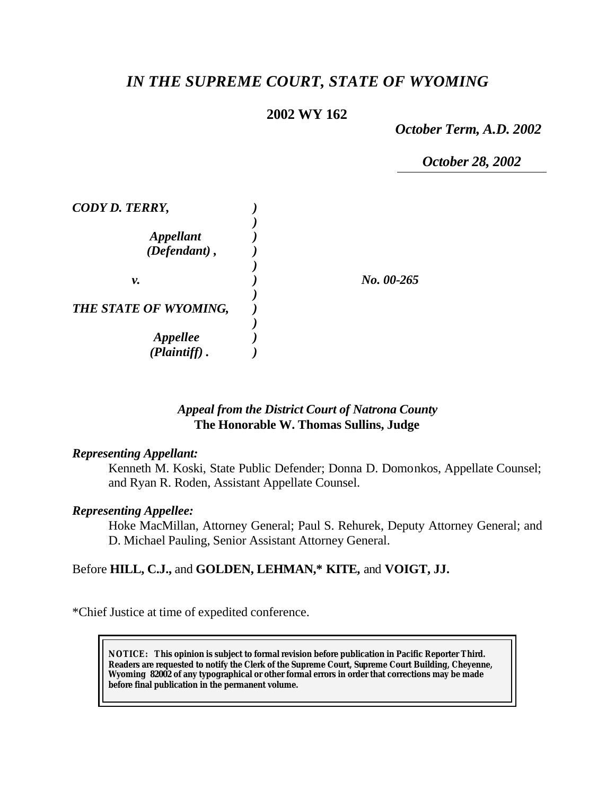# *IN THE SUPREME COURT, STATE OF WYOMING*

# **2002 WY 162**

*October Term, A.D. 2002*

*October 28, 2002*

| CODY D. TERRY,         |            |
|------------------------|------------|
|                        |            |
| <b>Appellant</b>       |            |
| $(Defendant)$ ,        |            |
|                        |            |
| ν.                     | No. 00-265 |
|                        |            |
| THE STATE OF WYOMING,  |            |
|                        |            |
| <i><b>Appellee</b></i> |            |
| (Plaintiff).           |            |

# *Appeal from the District Court of Natrona County* **The Honorable W. Thomas Sullins, Judge**

#### *Representing Appellant:*

Kenneth M. Koski, State Public Defender; Donna D. Domonkos, Appellate Counsel; and Ryan R. Roden, Assistant Appellate Counsel.

# *Representing Appellee:*

Hoke MacMillan, Attorney General; Paul S. Rehurek, Deputy Attorney General; and D. Michael Pauling, Senior Assistant Attorney General.

# Before **HILL, C.J.,** and **GOLDEN, LEHMAN,\* KITE,** and **VOIGT, JJ.**

\*Chief Justice at time of expedited conference.

**NOTICE:** *This opinion is subject to formal revision before publication in Pacific Reporter Third. Readers are requested to notify the Clerk of the Supreme Court, Supreme Court Building, Cheyenne, Wyoming 82002 of any typographical or other formal errors in order that corrections may be made before final publication in the permanent volume.*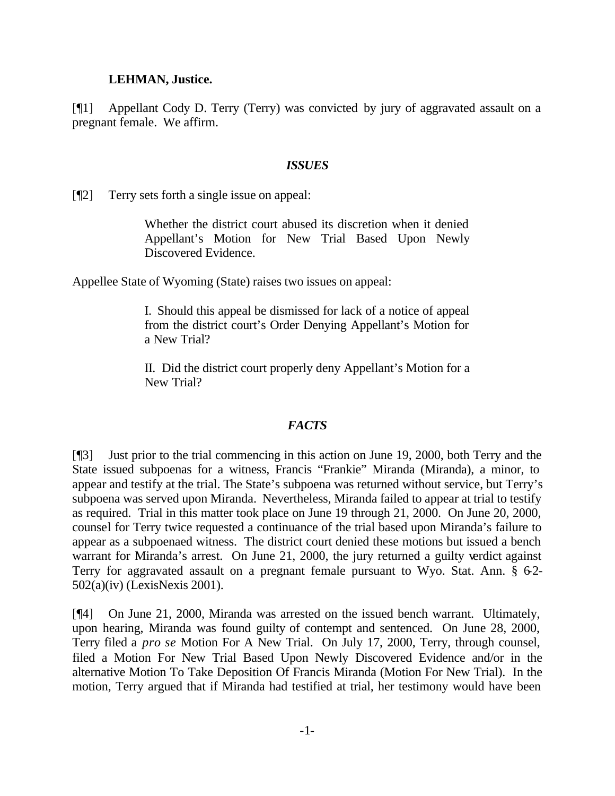#### **LEHMAN, Justice.**

[¶1] Appellant Cody D. Terry (Terry) was convicted by jury of aggravated assault on a pregnant female. We affirm.

#### *ISSUES*

[¶2] Terry sets forth a single issue on appeal:

Whether the district court abused its discretion when it denied Appellant's Motion for New Trial Based Upon Newly Discovered Evidence.

Appellee State of Wyoming (State) raises two issues on appeal:

I. Should this appeal be dismissed for lack of a notice of appeal from the district court's Order Denying Appellant's Motion for a New Trial?

II. Did the district court properly deny Appellant's Motion for a New Trial?

# *FACTS*

[¶3] Just prior to the trial commencing in this action on June 19, 2000, both Terry and the State issued subpoenas for a witness, Francis "Frankie" Miranda (Miranda), a minor, to appear and testify at the trial. The State's subpoena was returned without service, but Terry's subpoena was served upon Miranda. Nevertheless, Miranda failed to appear at trial to testify as required. Trial in this matter took place on June 19 through 21, 2000. On June 20, 2000, counsel for Terry twice requested a continuance of the trial based upon Miranda's failure to appear as a subpoenaed witness. The district court denied these motions but issued a bench warrant for Miranda's arrest. On June 21, 2000, the jury returned a guilty verdict against Terry for aggravated assault on a pregnant female pursuant to Wyo. Stat. Ann. § 62-502(a)(iv) (LexisNexis 2001).

[¶4] On June 21, 2000, Miranda was arrested on the issued bench warrant. Ultimately, upon hearing, Miranda was found guilty of contempt and sentenced. On June 28, 2000, Terry filed a *pro se* Motion For A New Trial. On July 17, 2000, Terry, through counsel, filed a Motion For New Trial Based Upon Newly Discovered Evidence and/or in the alternative Motion To Take Deposition Of Francis Miranda (Motion For New Trial). In the motion, Terry argued that if Miranda had testified at trial, her testimony would have been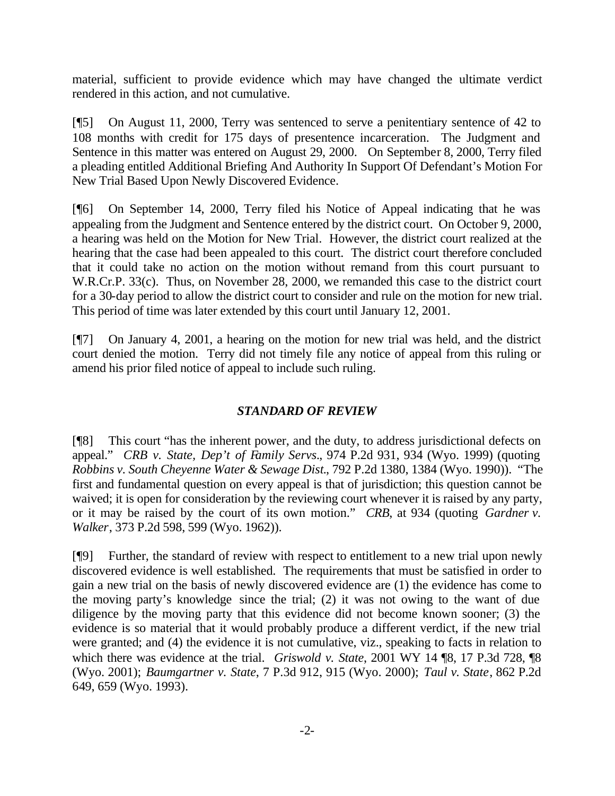material, sufficient to provide evidence which may have changed the ultimate verdict rendered in this action, and not cumulative.

[¶5] On August 11, 2000, Terry was sentenced to serve a penitentiary sentence of 42 to 108 months with credit for 175 days of presentence incarceration. The Judgment and Sentence in this matter was entered on August 29, 2000. On September 8, 2000, Terry filed a pleading entitled Additional Briefing And Authority In Support Of Defendant's Motion For New Trial Based Upon Newly Discovered Evidence.

[¶6] On September 14, 2000, Terry filed his Notice of Appeal indicating that he was appealing from the Judgment and Sentence entered by the district court. On October 9, 2000, a hearing was held on the Motion for New Trial. However, the district court realized at the hearing that the case had been appealed to this court. The district court therefore concluded that it could take no action on the motion without remand from this court pursuant to W.R.Cr.P. 33(c). Thus, on November 28, 2000, we remanded this case to the district court for a 30-day period to allow the district court to consider and rule on the motion for new trial. This period of time was later extended by this court until January 12, 2001.

[¶7] On January 4, 2001, a hearing on the motion for new trial was held, and the district court denied the motion. Terry did not timely file any notice of appeal from this ruling or amend his prior filed notice of appeal to include such ruling.

# *STANDARD OF REVIEW*

[¶8] This court "has the inherent power, and the duty, to address jurisdictional defects on appeal." *CRB v. State, Dep't of Family Servs.*, 974 P.2d 931, 934 (Wyo. 1999) (quoting *Robbins v. South Cheyenne Water & Sewage Dist.*, 792 P.2d 1380, 1384 (Wyo. 1990)). "The first and fundamental question on every appeal is that of jurisdiction; this question cannot be waived; it is open for consideration by the reviewing court whenever it is raised by any party, or it may be raised by the court of its own motion." *CRB*, at 934 (quoting *Gardner v. Walker*, 373 P.2d 598, 599 (Wyo. 1962)).

[¶9] Further, the standard of review with respect to entitlement to a new trial upon newly discovered evidence is well established. The requirements that must be satisfied in order to gain a new trial on the basis of newly discovered evidence are (1) the evidence has come to the moving party's knowledge since the trial; (2) it was not owing to the want of due diligence by the moving party that this evidence did not become known sooner; (3) the evidence is so material that it would probably produce a different verdict, if the new trial were granted; and (4) the evidence it is not cumulative, viz., speaking to facts in relation to which there was evidence at the trial. *Griswold v. State*, 2001 WY 14 ¶8, 17 P.3d 728, ¶8 (Wyo. 2001); *Baumgartner v. State*, 7 P.3d 912, 915 (Wyo. 2000); *Taul v. State*, 862 P.2d 649, 659 (Wyo. 1993).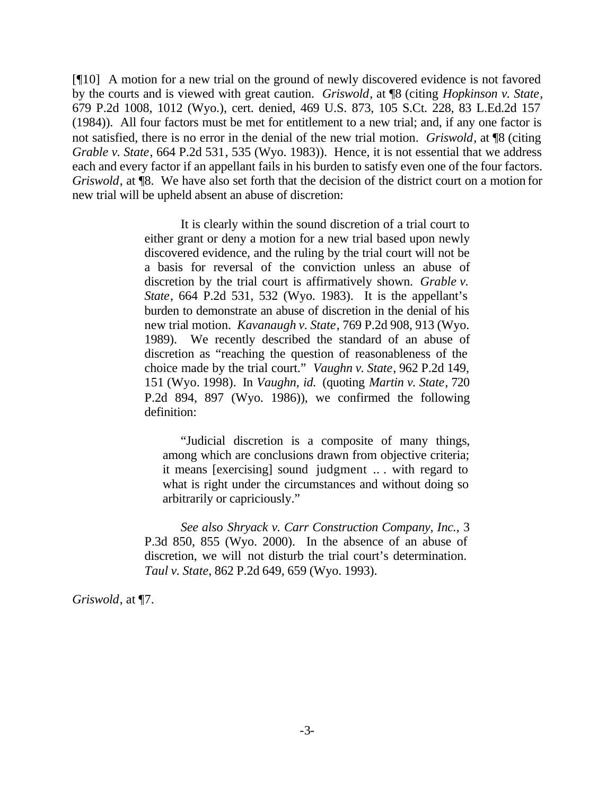[¶10] A motion for a new trial on the ground of newly discovered evidence is not favored by the courts and is viewed with great caution. *Griswold*, at ¶8 (citing *Hopkinson v. State*, 679 P.2d 1008, 1012 (Wyo.), cert. denied, 469 U.S. 873, 105 S.Ct. 228, 83 L.Ed.2d 157 (1984)). All four factors must be met for entitlement to a new trial; and, if any one factor is not satisfied, there is no error in the denial of the new trial motion. *Griswold*, at ¶8 (citing *Grable v. State*, 664 P.2d 531, 535 (Wyo. 1983)). Hence, it is not essential that we address each and every factor if an appellant fails in his burden to satisfy even one of the four factors. *Griswold*, at ¶8. We have also set forth that the decision of the district court on a motion for new trial will be upheld absent an abuse of discretion:

> It is clearly within the sound discretion of a trial court to either grant or deny a motion for a new trial based upon newly discovered evidence, and the ruling by the trial court will not be a basis for reversal of the conviction unless an abuse of discretion by the trial court is affirmatively shown. *Grable v. State*, 664 P.2d 531, 532 (Wyo. 1983). It is the appellant's burden to demonstrate an abuse of discretion in the denial of his new trial motion. *Kavanaugh v. State*, 769 P.2d 908, 913 (Wyo. 1989). We recently described the standard of an abuse of discretion as "reaching the question of reasonableness of the choice made by the trial court." *Vaughn v. State*, 962 P.2d 149, 151 (Wyo. 1998). In *Vaughn, id.* (quoting *Martin v. State*, 720 P.2d 894, 897 (Wyo. 1986)), we confirmed the following definition:

"Judicial discretion is a composite of many things, among which are conclusions drawn from objective criteria; it means [exercising] sound judgment .. . with regard to what is right under the circumstances and without doing so arbitrarily or capriciously."

*See also Shryack v. Carr Construction Company, Inc.*, 3 P.3d 850, 855 (Wyo. 2000). In the absence of an abuse of discretion, we will not disturb the trial court's determination. *Taul v. State*, 862 P.2d 649, 659 (Wyo. 1993).

*Griswold*, at ¶7.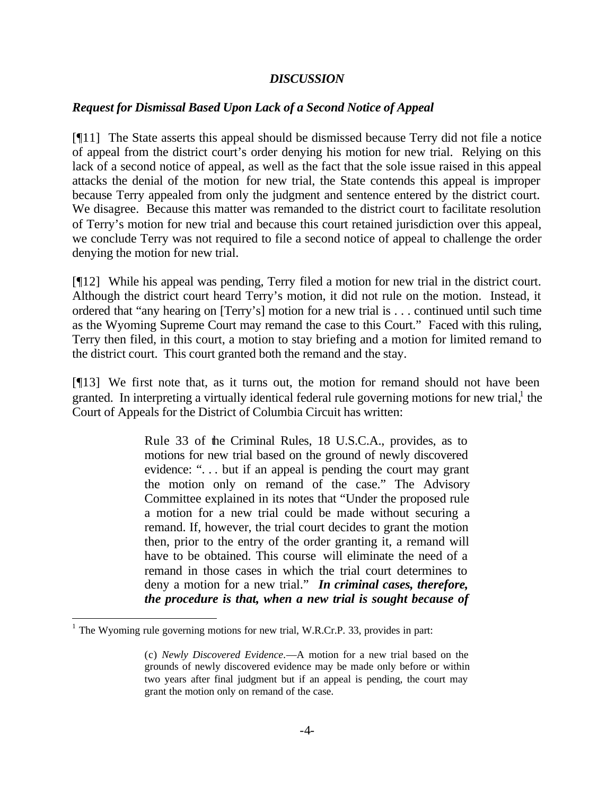#### *DISCUSSION*

# *Request for Dismissal Based Upon Lack of a Second Notice of Appeal*

[¶11] The State asserts this appeal should be dismissed because Terry did not file a notice of appeal from the district court's order denying his motion for new trial. Relying on this lack of a second notice of appeal, as well as the fact that the sole issue raised in this appeal attacks the denial of the motion for new trial, the State contends this appeal is improper because Terry appealed from only the judgment and sentence entered by the district court. We disagree. Because this matter was remanded to the district court to facilitate resolution of Terry's motion for new trial and because this court retained jurisdiction over this appeal, we conclude Terry was not required to file a second notice of appeal to challenge the order denying the motion for new trial.

[¶12] While his appeal was pending, Terry filed a motion for new trial in the district court. Although the district court heard Terry's motion, it did not rule on the motion. Instead, it ordered that "any hearing on [Terry's] motion for a new trial is . . . continued until such time as the Wyoming Supreme Court may remand the case to this Court." Faced with this ruling, Terry then filed, in this court, a motion to stay briefing and a motion for limited remand to the district court. This court granted both the remand and the stay.

[¶13] We first note that, as it turns out, the motion for remand should not have been granted. In interpreting a virtually identical federal rule governing motions for new trial,<sup>1</sup> the Court of Appeals for the District of Columbia Circuit has written:

> Rule 33 of the Criminal Rules, 18 U.S.C.A., provides, as to motions for new trial based on the ground of newly discovered evidence: "... but if an appeal is pending the court may grant the motion only on remand of the case." The Advisory Committee explained in its notes that "Under the proposed rule a motion for a new trial could be made without securing a remand. If, however, the trial court decides to grant the motion then, prior to the entry of the order granting it, a remand will have to be obtained. This course will eliminate the need of a remand in those cases in which the trial court determines to deny a motion for a new trial." *In criminal cases, therefore, the procedure is that, when a new trial is sought because of*

l

 $<sup>1</sup>$  The Wyoming rule governing motions for new trial, W.R.Cr.P. 33, provides in part:</sup>

<sup>(</sup>c) *Newly Discovered Evidence*.—A motion for a new trial based on the grounds of newly discovered evidence may be made only before or within two years after final judgment but if an appeal is pending, the court may grant the motion only on remand of the case.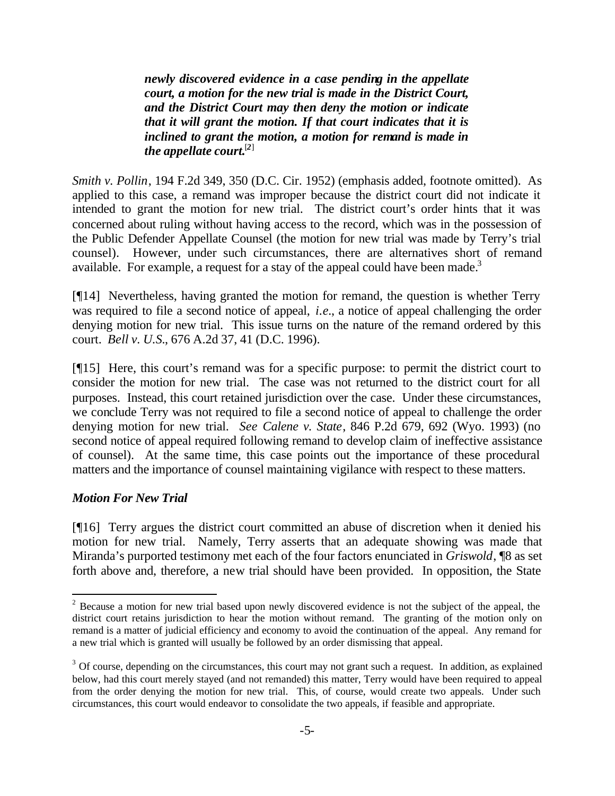*newly discovered evidence in a case pending in the appellate court, a motion for the new trial is made in the District Court, and the District Court may then deny the motion or indicate that it will grant the motion. If that court indicates that it is inclined to grant the motion, a motion for remand is made in the appellate court.*[*2*]

*Smith v. Pollin*, 194 F.2d 349, 350 (D.C. Cir. 1952) (emphasis added, footnote omitted). As applied to this case, a remand was improper because the district court did not indicate it intended to grant the motion for new trial. The district court's order hints that it was concerned about ruling without having access to the record, which was in the possession of the Public Defender Appellate Counsel (the motion for new trial was made by Terry's trial counsel). However, under such circumstances, there are alternatives short of remand available. For example, a request for a stay of the appeal could have been made.<sup>3</sup>

[¶14] Nevertheless, having granted the motion for remand, the question is whether Terry was required to file a second notice of appeal, *i.e.*, a notice of appeal challenging the order denying motion for new trial. This issue turns on the nature of the remand ordered by this court. *Bell v. U.S.*, 676 A.2d 37, 41 (D.C. 1996).

[¶15] Here, this court's remand was for a specific purpose: to permit the district court to consider the motion for new trial. The case was not returned to the district court for all purposes. Instead, this court retained jurisdiction over the case. Under these circumstances, we conclude Terry was not required to file a second notice of appeal to challenge the order denying motion for new trial. *See Calene v. State*, 846 P.2d 679, 692 (Wyo. 1993) (no second notice of appeal required following remand to develop claim of ineffective assistance of counsel). At the same time, this case points out the importance of these procedural matters and the importance of counsel maintaining vigilance with respect to these matters.

# *Motion For New Trial*

l

[¶16] Terry argues the district court committed an abuse of discretion when it denied his motion for new trial. Namely, Terry asserts that an adequate showing was made that Miranda's purported testimony met each of the four factors enunciated in *Griswold*, ¶8 as set forth above and, therefore, a new trial should have been provided. In opposition, the State

 $2^2$  Because a motion for new trial based upon newly discovered evidence is not the subject of the appeal, the district court retains jurisdiction to hear the motion without remand. The granting of the motion only on remand is a matter of judicial efficiency and economy to avoid the continuation of the appeal. Any remand for a new trial which is granted will usually be followed by an order dismissing that appeal.

 $3$  Of course, depending on the circumstances, this court may not grant such a request. In addition, as explained below, had this court merely stayed (and not remanded) this matter, Terry would have been required to appeal from the order denying the motion for new trial. This, of course, would create two appeals. Under such circumstances, this court would endeavor to consolidate the two appeals, if feasible and appropriate.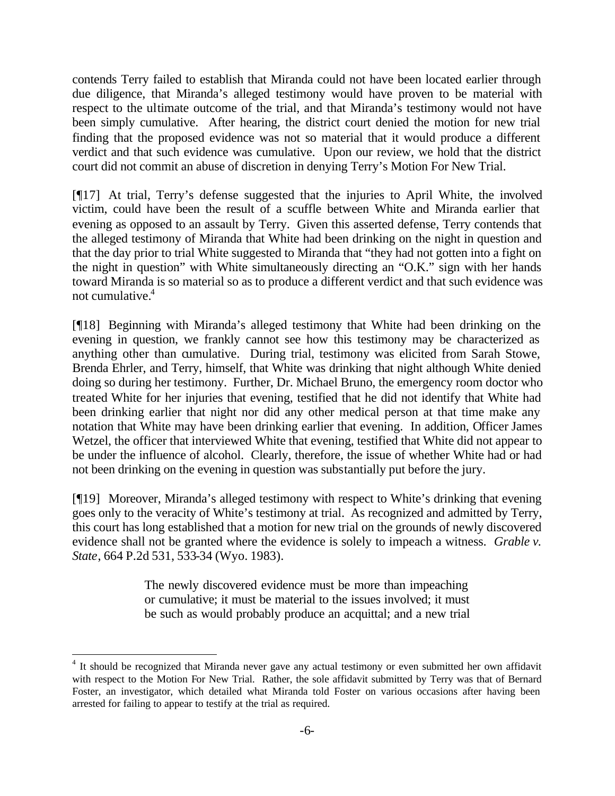contends Terry failed to establish that Miranda could not have been located earlier through due diligence, that Miranda's alleged testimony would have proven to be material with respect to the ultimate outcome of the trial, and that Miranda's testimony would not have been simply cumulative. After hearing, the district court denied the motion for new trial finding that the proposed evidence was not so material that it would produce a different verdict and that such evidence was cumulative. Upon our review, we hold that the district court did not commit an abuse of discretion in denying Terry's Motion For New Trial.

[¶17] At trial, Terry's defense suggested that the injuries to April White, the involved victim, could have been the result of a scuffle between White and Miranda earlier that evening as opposed to an assault by Terry. Given this asserted defense, Terry contends that the alleged testimony of Miranda that White had been drinking on the night in question and that the day prior to trial White suggested to Miranda that "they had not gotten into a fight on the night in question" with White simultaneously directing an "O.K." sign with her hands toward Miranda is so material so as to produce a different verdict and that such evidence was not cumulative.<sup>4</sup>

[¶18] Beginning with Miranda's alleged testimony that White had been drinking on the evening in question, we frankly cannot see how this testimony may be characterized as anything other than cumulative. During trial, testimony was elicited from Sarah Stowe, Brenda Ehrler, and Terry, himself, that White was drinking that night although White denied doing so during her testimony. Further, Dr. Michael Bruno, the emergency room doctor who treated White for her injuries that evening, testified that he did not identify that White had been drinking earlier that night nor did any other medical person at that time make any notation that White may have been drinking earlier that evening. In addition, Officer James Wetzel, the officer that interviewed White that evening, testified that White did not appear to be under the influence of alcohol. Clearly, therefore, the issue of whether White had or had not been drinking on the evening in question was substantially put before the jury.

[¶19] Moreover, Miranda's alleged testimony with respect to White's drinking that evening goes only to the veracity of White's testimony at trial. As recognized and admitted by Terry, this court has long established that a motion for new trial on the grounds of newly discovered evidence shall not be granted where the evidence is solely to impeach a witness. *Grable v. State*, 664 P.2d 531, 533-34 (Wyo. 1983).

> The newly discovered evidence must be more than impeaching or cumulative; it must be material to the issues involved; it must be such as would probably produce an acquittal; and a new trial

l

<sup>&</sup>lt;sup>4</sup> It should be recognized that Miranda never gave any actual testimony or even submitted her own affidavit with respect to the Motion For New Trial. Rather, the sole affidavit submitted by Terry was that of Bernard Foster, an investigator, which detailed what Miranda told Foster on various occasions after having been arrested for failing to appear to testify at the trial as required.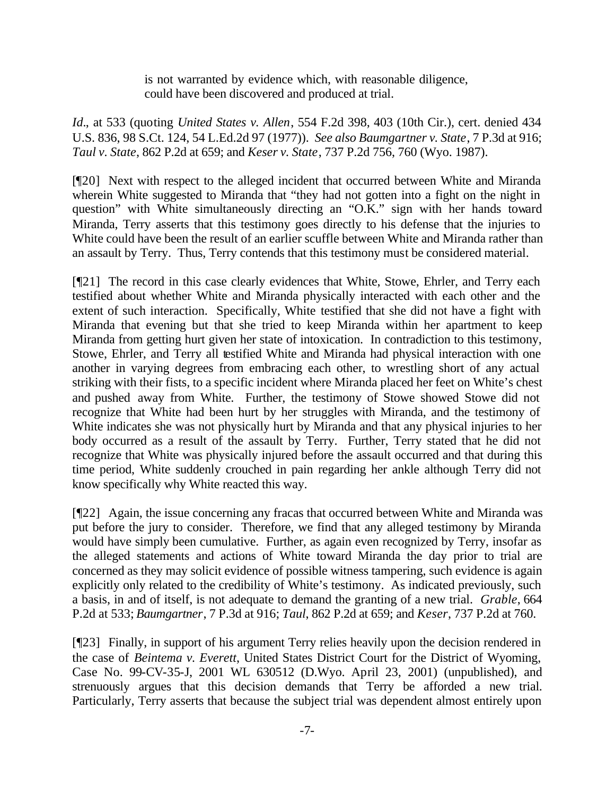is not warranted by evidence which, with reasonable diligence, could have been discovered and produced at trial.

*Id.*, at 533 (quoting *United States v. Allen*, 554 F.2d 398, 403 (10th Cir.), cert. denied 434 U.S. 836, 98 S.Ct. 124, 54 L.Ed.2d 97 (1977)). *See also Baumgartner v. State*, 7 P.3d at 916; *Taul v. State*, 862 P.2d at 659; and *Keser v. State*, 737 P.2d 756, 760 (Wyo. 1987).

[¶20] Next with respect to the alleged incident that occurred between White and Miranda wherein White suggested to Miranda that "they had not gotten into a fight on the night in question" with White simultaneously directing an "O.K." sign with her hands toward Miranda, Terry asserts that this testimony goes directly to his defense that the injuries to White could have been the result of an earlier scuffle between White and Miranda rather than an assault by Terry. Thus, Terry contends that this testimony must be considered material.

[¶21] The record in this case clearly evidences that White, Stowe, Ehrler, and Terry each testified about whether White and Miranda physically interacted with each other and the extent of such interaction. Specifically, White testified that she did not have a fight with Miranda that evening but that she tried to keep Miranda within her apartment to keep Miranda from getting hurt given her state of intoxication. In contradiction to this testimony, Stowe, Ehrler, and Terry all testified White and Miranda had physical interaction with one another in varying degrees from embracing each other, to wrestling short of any actual striking with their fists, to a specific incident where Miranda placed her feet on White's chest and pushed away from White. Further, the testimony of Stowe showed Stowe did not recognize that White had been hurt by her struggles with Miranda, and the testimony of White indicates she was not physically hurt by Miranda and that any physical injuries to her body occurred as a result of the assault by Terry. Further, Terry stated that he did not recognize that White was physically injured before the assault occurred and that during this time period, White suddenly crouched in pain regarding her ankle although Terry did not know specifically why White reacted this way.

[¶22] Again, the issue concerning any fracas that occurred between White and Miranda was put before the jury to consider. Therefore, we find that any alleged testimony by Miranda would have simply been cumulative. Further, as again even recognized by Terry, insofar as the alleged statements and actions of White toward Miranda the day prior to trial are concerned as they may solicit evidence of possible witness tampering, such evidence is again explicitly only related to the credibility of White's testimony. As indicated previously, such a basis, in and of itself, is not adequate to demand the granting of a new trial. *Grable*, 664 P.2d at 533; *Baumgartner*, 7 P.3d at 916; *Taul*, 862 P.2d at 659; and *Keser*, 737 P.2d at 760.

[¶23] Finally, in support of his argument Terry relies heavily upon the decision rendered in the case of *Beintema v. Everett*, United States District Court for the District of Wyoming, Case No. 99-CV-35-J, 2001 WL 630512 (D.Wyo. April 23, 2001) (unpublished), and strenuously argues that this decision demands that Terry be afforded a new trial. Particularly, Terry asserts that because the subject trial was dependent almost entirely upon